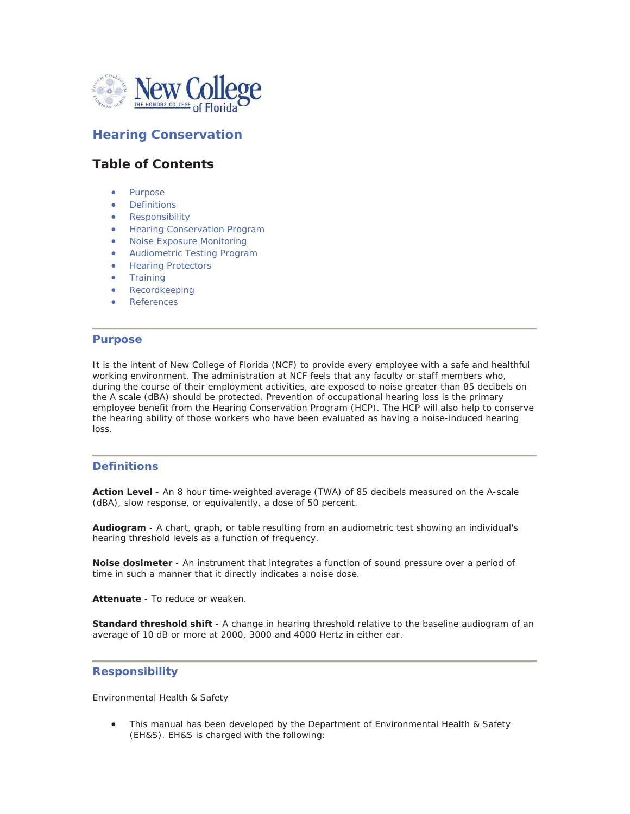

# **Hearing Conservation**

# **Table of Contents**

- Purpose
- **Definitions**
- **Responsibility**
- Hearing Conservation Program
- **Noise Exposure Monitoring**
- **•** Audiometric Testing Program
- **Hearing Protectors**
- **•** Training
- Recordkeeping
- **References**

#### **Purpose**

It is the intent of New College of Florida (NCF) to provide every employee with a safe and healthful working environment. The administration at NCF feels that any faculty or staff members who, during the course of their employment activities, are exposed to noise greater than 85 decibels on the A scale (dBA) should be protected. Prevention of occupational hearing loss is the primary employee benefit from the Hearing Conservation Program (HCP). The HCP will also help to conserve the hearing ability of those workers who have been evaluated as having a noise-induced hearing loss.

#### **Definitions**

**Action Level** - An 8 hour time-weighted average (TWA) of 85 decibels measured on the A-scale (dBA), slow response, or equivalently, a dose of 50 percent.

**Audiogram** - A chart, graph, or table resulting from an audiometric test showing an individual's hearing threshold levels as a function of frequency.

**Noise dosimeter** - An instrument that integrates a function of sound pressure over a period of time in such a manner that it directly indicates a noise dose.

**Attenuate** - To reduce or weaken.

**Standard threshold shift** - A change in hearing threshold relative to the baseline audiogram of an average of 10 dB or more at 2000, 3000 and 4000 Hertz in either ear.

#### **Responsibility**

Environmental Health & Safety

• This manual has been developed by the Department of Environmental Health & Safety (EH&S). EH&S is charged with the following: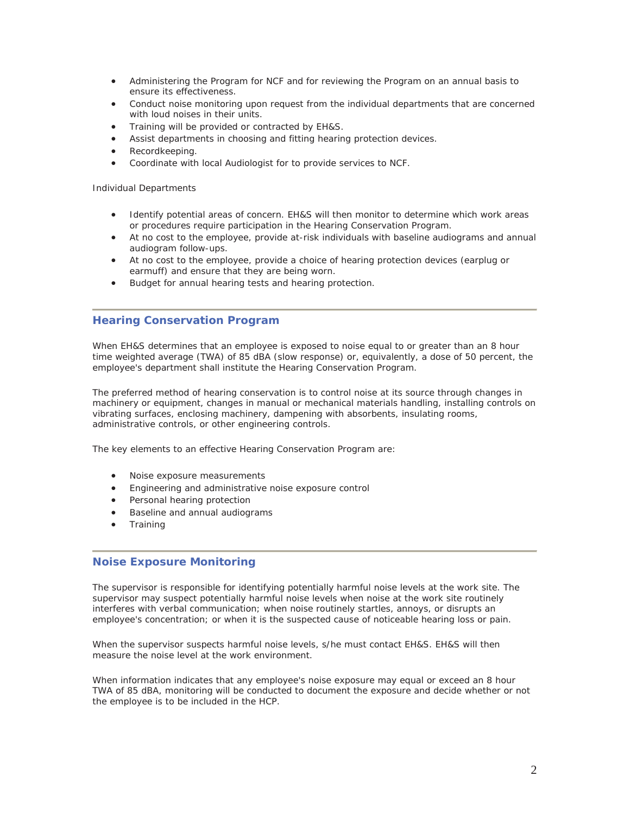- Administering the Program for NCF and for reviewing the Program on an annual basis to ensure its effectiveness.
- Conduct noise monitoring upon request from the individual departments that are concerned with loud noises in their units.
- Training will be provided or contracted by EH&S.
- Assist departments in choosing and fitting hearing protection devices.
- Recordkeeping.
- Coordinate with local Audiologist for to provide services to NCF.

Individual Departments

- Identify potential areas of concern. EH&S will then monitor to determine which work areas or procedures require participation in the Hearing Conservation Program.
- At no cost to the employee, provide at-risk individuals with baseline audiograms and annual audiogram follow-ups.
- At no cost to the employee, provide a choice of hearing protection devices (earplug or earmuff) and ensure that they are being worn.
- Budget for annual hearing tests and hearing protection.

## **Hearing Conservation Program**

When EH&S determines that an employee is exposed to noise equal to or greater than an 8 hour time weighted average (TWA) of 85 dBA (slow response) or, equivalently, a dose of 50 percent, the employee's department shall institute the Hearing Conservation Program.

The preferred method of hearing conservation is to control noise at its source through changes in machinery or equipment, changes in manual or mechanical materials handling, installing controls on vibrating surfaces, enclosing machinery, dampening with absorbents, insulating rooms, administrative controls, or other engineering controls.

The key elements to an effective Hearing Conservation Program are:

- Noise exposure measurements
- **•** Engineering and administrative noise exposure control
- Personal hearing protection
- Baseline and annual audiograms
- **Training**

#### **Noise Exposure Monitoring**

The supervisor is responsible for identifying potentially harmful noise levels at the work site. The supervisor may suspect potentially harmful noise levels when noise at the work site routinely interferes with verbal communication; when noise routinely startles, annoys, or disrupts an employee's concentration; or when it is the suspected cause of noticeable hearing loss or pain.

When the supervisor suspects harmful noise levels, s/he must contact EH&S. EH&S will then measure the noise level at the work environment.

When information indicates that any employee's noise exposure may equal or exceed an 8 hour TWA of 85 dBA, monitoring will be conducted to document the exposure and decide whether or not the employee is to be included in the HCP.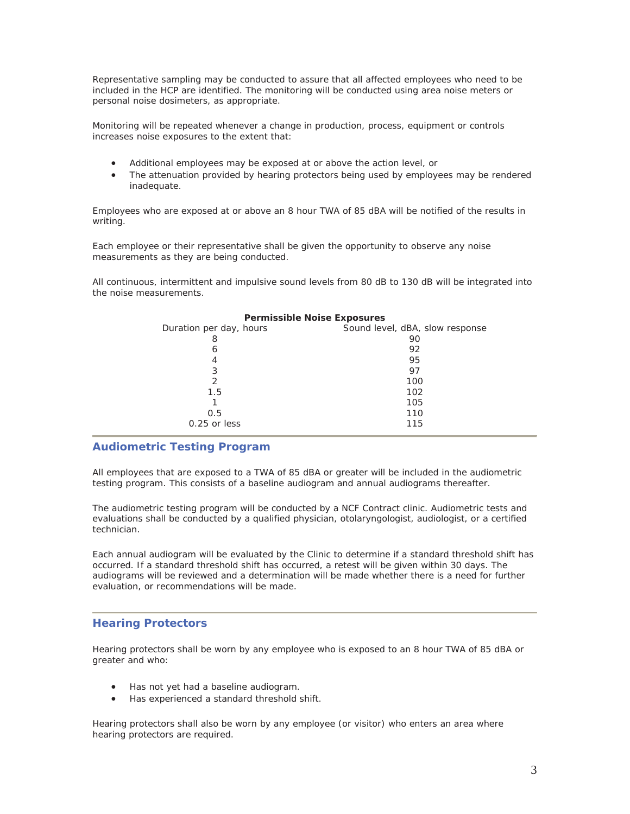Representative sampling may be conducted to assure that all affected employees who need to be included in the HCP are identified. The monitoring will be conducted using area noise meters or personal noise dosimeters, as appropriate.

Monitoring will be repeated whenever a change in production, process, equipment or controls increases noise exposures to the extent that:

- Additional employees may be exposed at or above the action level, or
- The attenuation provided by hearing protectors being used by employees may be rendered inadequate.

Employees who are exposed at or above an 8 hour TWA of 85 dBA will be notified of the results in writing.

Each employee or their representative shall be given the opportunity to observe any noise measurements as they are being conducted.

All continuous, intermittent and impulsive sound levels from 80 dB to 130 dB will be integrated into the noise measurements.

| <b>Fellinssible Noise Exposures</b> |                                 |
|-------------------------------------|---------------------------------|
| Duration per day, hours             | Sound level, dBA, slow response |
| 8                                   | 90                              |
| 6                                   | 92                              |
|                                     | 95                              |
| 3                                   | 97                              |
| 2                                   | 100                             |
| 1.5                                 | 102                             |
|                                     | 105                             |
| 0.5                                 | 110                             |
| $0.25$ or less                      | 115                             |

## **Permissible Noise Exposures**

### **Audiometric Testing Program**

All employees that are exposed to a TWA of 85 dBA or greater will be included in the audiometric testing program. This consists of a baseline audiogram and annual audiograms thereafter.

The audiometric testing program will be conducted by a NCF Contract clinic. Audiometric tests and evaluations shall be conducted by a qualified physician, otolaryngologist, audiologist, or a certified technician.

Each annual audiogram will be evaluated by the Clinic to determine if a standard threshold shift has occurred. If a standard threshold shift has occurred, a retest will be given within 30 days. The audiograms will be reviewed and a determination will be made whether there is a need for further evaluation, or recommendations will be made.

# **Hearing Protectors**

Hearing protectors shall be worn by any employee who is exposed to an 8 hour TWA of 85 dBA or greater and who:

- Has not yet had a baseline audiogram.
- Has experienced a standard threshold shift.

Hearing protectors shall also be worn by any employee (or visitor) who enters an area where hearing protectors are required.